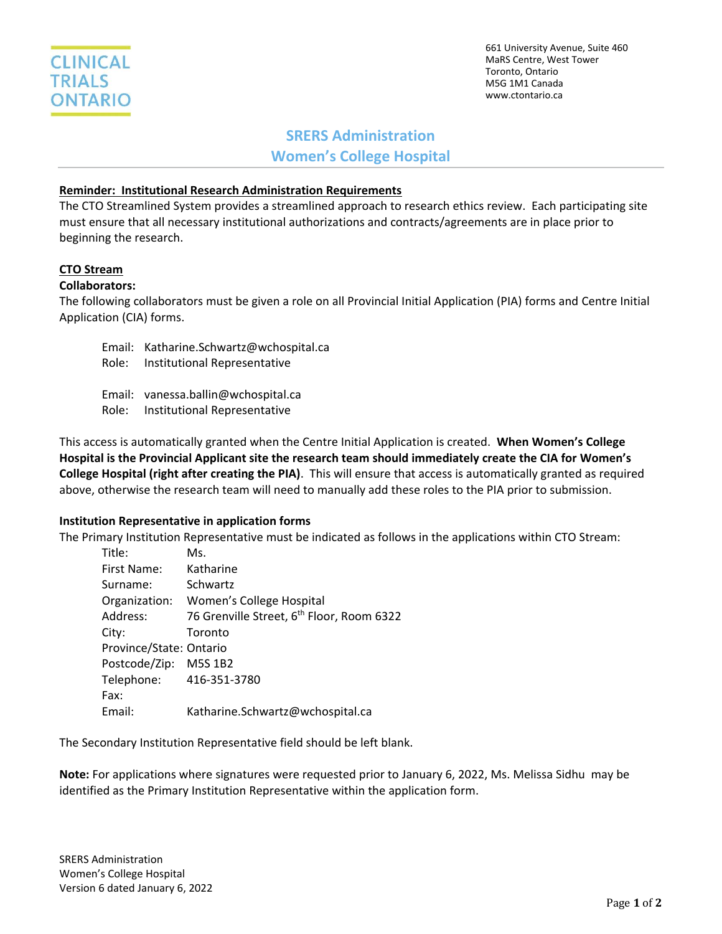

661 University Avenue, Suite 460 MaRS Centre, West Tower Toronto, Ontario M5G 1M1 Canada www.ctontario.ca

# **SRERS Administration Women's College Hospital**

#### **Reminder: Institutional Research Administration Requirements**

The CTO Streamlined System provides a streamlined approach to research ethics review. Each participating site must ensure that all necessary institutional authorizations and contracts/agreements are in place prior to beginning the research.

### **CTO Stream**

# **Collaborators:**

The following collaborators must be given a role on all Provincial Initial Application (PIA) forms and Centre Initial Application (CIA) forms.

- Email: Katharine.Schwartz@wchospital.ca
- Role: Institutional Representative
- Email: vanessa.ballin@wchospital.ca
- Role: Institutional Representative

This access is automatically granted when the Centre Initial Application is created. **When Women's College Hospital is the Provincial Applicant site the research team should immediately create the CIA for Women's College Hospital (right after creating the PIA)**. This will ensure that access is automatically granted as required above, otherwise the research team will need to manually add these roles to the PIA prior to submission.

#### **Institution Representative in application forms**

The Primary Institution Representative must be indicated as follows in the applications within CTO Stream:

| Title:                  | Ms.                                                   |
|-------------------------|-------------------------------------------------------|
| First Name:             | Katharine                                             |
| Surname:                | Schwartz                                              |
| Organization:           | Women's College Hospital                              |
| Address:                | 76 Grenville Street, 6 <sup>th</sup> Floor, Room 6322 |
| City:                   | Toronto                                               |
| Province/State: Ontario |                                                       |
| Postcode/Zip:           | M5S 1B2                                               |
| Telephone:              | 416-351-3780                                          |
| Fax:                    |                                                       |
| Email:                  | Katharine.Schwartz@wchospital.ca                      |

The Secondary Institution Representative field should be left blank.

**Note:** For applications where signatures were requested prior to January 6, 2022, Ms. Melissa Sidhu may be identified as the Primary Institution Representative within the application form.